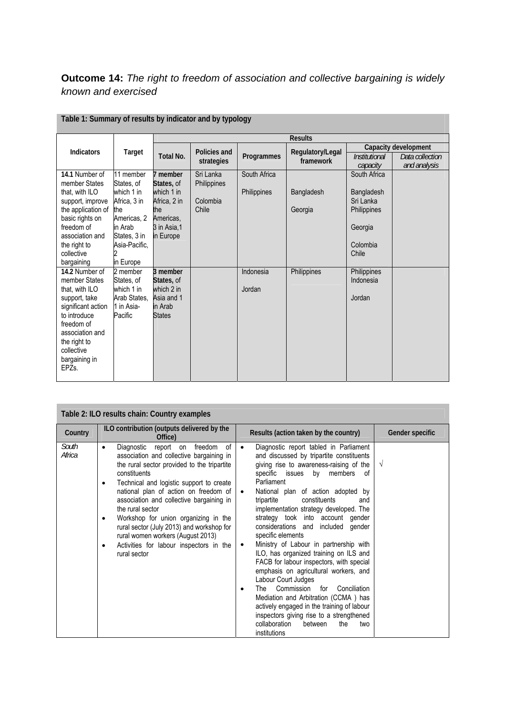## **Outcome 14:** *The right to freedom of association and collective bargaining is widely known and exercised*

|                                       |                               | <b>Results</b>           |                            |              |                               |                                                          |              |  |
|---------------------------------------|-------------------------------|--------------------------|----------------------------|--------------|-------------------------------|----------------------------------------------------------|--------------|--|
| <b>Indicators</b>                     | Target                        | Total No.                | Policies and<br>strategies | Programmes   | Regulatory/Legal<br>framework | Capacity development<br>Institutional<br>Data collection |              |  |
|                                       |                               |                          |                            |              |                               | capacity                                                 | and analysis |  |
| 14.1 Number of<br>member States       | 11 member<br>States, of       | 7 member<br>States, of   | Sri Lanka<br>Philippines   | South Africa |                               | South Africa                                             |              |  |
| that, with ILO                        | which 1 in                    | which 1 in               |                            | Philippines  | Bangladesh                    | Bangladesh                                               |              |  |
| support, improve                      | Africa, 3 in                  | Africa, 2 in             | Colombia                   |              |                               | Sri Lanka                                                |              |  |
| the application of<br>basic rights on | the<br>Americas, 2            | the<br>Americas,         | Chile                      |              | Georgia                       | <b>Philippines</b>                                       |              |  |
| freedom of                            | in Arab                       | 3 in Asia,1              |                            |              |                               | Georgia                                                  |              |  |
| association and<br>the right to       | States, 3 in<br>Asia-Pacific, | in Europe                |                            |              |                               | Colombia                                                 |              |  |
| collective                            |                               |                          |                            |              |                               | Chile                                                    |              |  |
| bargaining                            | in Europe                     |                          |                            |              |                               |                                                          |              |  |
| 14.2 Number of                        | 2 member                      | 3 member                 |                            | Indonesia    | Philippines                   | Philippines                                              |              |  |
| member States<br>that, with ILO       | States, of<br>which 1 in      | States, of<br>which 2 in |                            | Jordan       |                               | Indonesia                                                |              |  |
| support, take                         | Arab States,                  | Asia and 1               |                            |              |                               | Jordan                                                   |              |  |
| significant action                    | 1 in Asia-                    | in Arab                  |                            |              |                               |                                                          |              |  |
| to introduce                          | Pacific                       | <b>States</b>            |                            |              |                               |                                                          |              |  |
| freedom of                            |                               |                          |                            |              |                               |                                                          |              |  |
| association and<br>the right to       |                               |                          |                            |              |                               |                                                          |              |  |
| collective                            |                               |                          |                            |              |                               |                                                          |              |  |
| bargaining in                         |                               |                          |                            |              |                               |                                                          |              |  |
| EPZ <sub>s</sub> .                    |                               |                          |                            |              |                               |                                                          |              |  |
|                                       |                               |                          |                            |              |                               |                                                          |              |  |

## **Table 1: Summary of results by indicator and by typology**

| Table 2: ILO results chain: Country examples |                                                                                                                                                                                                                                                                                                                                                                                                                                                                                                                           |                                                                                                                                                                                                                                                                                                                                                                                                                                                                                                                                                                                                                                                                                                                                                                                                                                                                                                 |                 |  |  |  |  |
|----------------------------------------------|---------------------------------------------------------------------------------------------------------------------------------------------------------------------------------------------------------------------------------------------------------------------------------------------------------------------------------------------------------------------------------------------------------------------------------------------------------------------------------------------------------------------------|-------------------------------------------------------------------------------------------------------------------------------------------------------------------------------------------------------------------------------------------------------------------------------------------------------------------------------------------------------------------------------------------------------------------------------------------------------------------------------------------------------------------------------------------------------------------------------------------------------------------------------------------------------------------------------------------------------------------------------------------------------------------------------------------------------------------------------------------------------------------------------------------------|-----------------|--|--|--|--|
| Country                                      | ILO contribution (outputs delivered by the<br>Office)                                                                                                                                                                                                                                                                                                                                                                                                                                                                     | Results (action taken by the country)                                                                                                                                                                                                                                                                                                                                                                                                                                                                                                                                                                                                                                                                                                                                                                                                                                                           | Gender specific |  |  |  |  |
| South<br>Africa                              | report on<br>Diagnostic<br>freedom<br>0f<br>٠<br>association and collective bargaining in<br>the rural sector provided to the tripartite<br>constituents<br>Technical and logistic support to create<br>$\bullet$<br>national plan of action on freedom of<br>association and collective bargaining in<br>the rural sector<br>Workshop for union organizing in the<br>٠<br>rural sector (July 2013) and workshop for<br>rural women workers (August 2013)<br>Activities for labour inspectors in the<br>٠<br>rural sector | Diagnostic report tabled in Parliament<br>and discussed by tripartite constituents<br>giving rise to awareness-raising of the<br>specific issues<br>members<br>by<br>0f<br>Parliament<br>National plan of action adopted by<br>$\bullet$<br>constituents<br>tripartite<br>and<br>implementation strategy developed. The<br>strategy took into account<br>qender<br>considerations and included<br>gender<br>specific elements<br>Ministry of Labour in partnership with<br>$\bullet$<br>ILO, has organized training on ILS and<br>FACB for labour inspectors, with special<br>emphasis on agricultural workers, and<br>Labour Court Judges<br>Commission<br>Conciliation<br>for<br>The<br>$\bullet$<br>Mediation and Arbitration (CCMA) has<br>actively engaged in the training of labour<br>inspectors giving rise to a strengthened<br>collaboration<br>the<br>between<br>two<br>institutions | $\sqrt{ }$      |  |  |  |  |